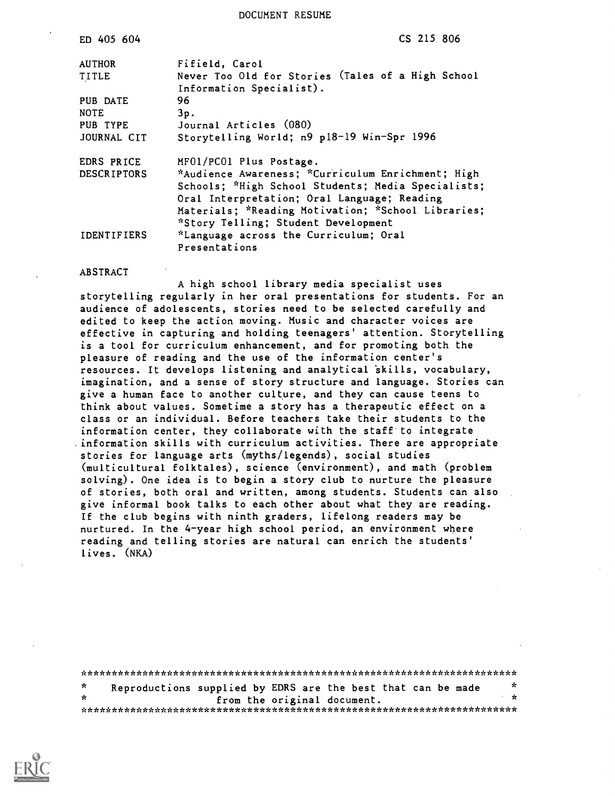DOCUMENT RESUME

| ED 405 604         | CS 215 806                                         |
|--------------------|----------------------------------------------------|
| <b>AUTHOR</b>      | Fifield, Carol                                     |
| <b>TITLE</b>       | Never Too Old for Stories (Tales of a High School  |
|                    | Information Specialist).                           |
| PUB DATE           | 96                                                 |
| <b>NOTE</b>        | 3p.                                                |
| PUB TYPE           | Journal Articles (080)                             |
| JOURNAL CIT        | Storytelling World; n9 p18-19 Win-Spr 1996         |
| EDRS PRICE         | MF01/PC01 Plus Postage.                            |
| <b>DESCRIPTORS</b> | *Audience Awareness; *Curriculum Enrichment; High  |
|                    | Schools; *High School Students; Media Specialists; |
|                    | Oral Interpretation; Oral Language; Reading        |
|                    | Materials; *Reading Motivation; *School Libraries; |
|                    | *Story Telling; Student Development                |
|                    |                                                    |
| <b>IDENTIFIERS</b> | *Language across the Curriculum; Oral              |
|                    | Presentations                                      |
|                    |                                                    |

#### **ABSTRACT**

A high school library media specialist uses storytelling regularly in her oral presentations for students. For an audience of adolescents, stories need to be selected carefully and edited to keep the action moving. Music and character voices are effective in capturing and holding teenagers' attention. Storytelling is a tool for curriculum enhancement, and for promoting both the pleasure of reading and the use of the information center's resources. It develops listening and analytical skills, vocabulary, imagination, and a sense of story structure and language. Stories can give a human face to another culture, and they can cause teens to think about values. Sometime a story has a therapeutic effect on a class or an individual. Before teachers take their students to the information center, they collaborate with the staff to integrate . information skills with curriculum activities. There are appropriate stories for language arts (myths/legends), social studies (multicultural folktales), science (environment), and math (problem solving). One idea is to begin a story club to nurture the pleasure of stories, both oral and written, among students. Students can also give informal book talks to each other about what they are reading. If the club begins with ninth graders, lifelong readers may be nurtured. In the 4-year high school period, an environment where reading and telling stories are natural can enrich the students' lives. (NKA)

| *            | Reproductions supplied by EDRS are the best that can be made |  |                             |  | $\star$      |
|--------------|--------------------------------------------------------------|--|-----------------------------|--|--------------|
| $\mathbf{r}$ |                                                              |  | from the original document. |  | $\mathbf{r}$ |
|              |                                                              |  |                             |  |              |

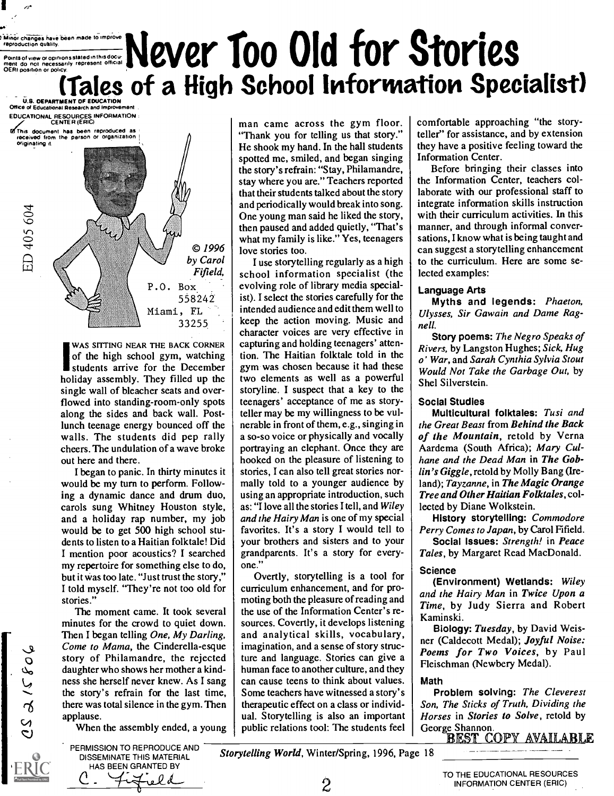## IMinOr changes have been made Icimprove reproduction Quality. Points of view or opinions stated in this ment do not necessarily represent official OERI position or policy. Never Too Old for Stories (Tales of a High School Information Specialist)

U.S. DEPARTMENT OF EDUCATION Office of Educational Research and Improvement EDUCATIONAL RESOURCES INFORMATION CENTER (ERIC)

144;:is document has been reproduced as received from the person or organization received from the person or organization<br>originating it.

ED 405 604

I e

> © 1996 by Carol Fifield, P.O. Box 558242 Miami, FL 33255

WAS SITTING NEAR THE BACK CORNER of the high school gym, watching students arrive for the December holiday assembly. They filled up the single wall of bleacher seats and overflowed into standing-room-only spots along the sides and back wall. Postlunch teenage energy bounced off the walls. The students did pep rally cheers. The undulation of a wave broke out here and there.

I began to panic. In thirty minutes it would be my turn to perform. Following a dynamic dance and drum duo, carols sung Whitney Houston style, and a holiday rap number, my job would be to get 500 high school students to listen to a Haitian folktale! Did I mention poor acoustics? I searched my repertoire for something else to do, but it was too late. "Just trust the story," I told myself. "They're not too old for stories."

The moment came. It took several minutes for the crowd to quiet down. Then I began telling One, My Darling, Come to Mama, the Cinderella-esque story of Philamandre, the rejected daughter who shows her mother a kindness she herself never knew. As I sang the story's refrain for the last time, there was total silence in the gym. Then applause.

When the assembly ended, a young

man came across the gym floor. "Thank you for telling us that story." He shook my hand. In the hall students spotted me, smiled, and began singing the story's refrain: "Stay, Philamandre, stay where you are." Teachers reported that their students talked about the story and periodically would break into song. One young man said he liked the story, then paused and added quietly, "That's what my family is like." Yes, teenagers love stories too.

I use storytelling regularly as a high school information specialist (the evolving role of library media specialist). I select the stories carefully for the intended audience and edit them well to keep the action moving. Music and character voices are very effective in capturing and holding teenagers' attention. The Haitian folktale told in the gym was chosen because it had these two elements as well as a powerful storyline. I suspect that a key to the teenagers' acceptance of me as storyteller may be my willingness to be vulnerable in front of them, e.g., singing in a so-so voice or physically and vocally portraying an elephant. Once they are hooked on the pleasure of listening to stories, I can also tell great stories normally told to a younger audience by using an appropriate introduction, such as: "I love all the stories I tell, and Wiley and the Hairy Man is one of my special favorites. It's a story I would tell to your brothers and sisters and to your grandparents. It's a story for everyone."

Overtly, storytelling is a tool for curriculum enhancement, and for promoting both the pleasure of reading and the use of the Information Center's resources. Covertly, it develops listening and analytical skills, vocabulary, imagination, and a sense of story structure and language. Stories can give a human face to another culture, and they can cause teens to think about values. Some teachers have witnessed a story's therapeutic effect on a class or individual. Storytelling is also an important public relations tool: The students feel comfortable approaching "the storyteller" for assistance, and by extension they have a positive feeling toward the Information Center.

Before bringing their classes into the Information Center, teachers collaborate with our professional staff to integrate information skills instruction with their curriculum activities. In this manner, and through informal conversations, I know what is being taught and can suggest a storytelling enhancement to the curriculum. Here are some selected examples:

#### Language Arts

Myths and legends: Phaeton, Ulysses, Sir Gawain and Dame Ragnell.

Story poems: The Negro Speaks of Rivers, by Langston Hughes; Sick, Hug o' War, and Sarah Cynthia Sylvia Stout Would Not Take the Garbage Out, by Shel Silverstein.

#### Social Studies

Multicultural folktales: Tusi and the Great Beast from Behind the Back of the Mountain, retold by Verna Aardema (South Africa); Mary Culhane and the Dead Man in The Goblin's Giggle, retold by Molly Bang (Ireland); Tayzanne, in The Magic Orange Tree and Other Haitian Folktales, collected by Diane Wolkstein.

History storytelling: Commodore Perry Comes to Japan, by Carol Fifield.

Social Issues: Strength! in Peace Tales, by Margaret Read MacDonald.

#### Science

(Environment) Wetlands: Wiley and the Hairy Man in Twice Upon a Time, by Judy Sierra and Robert Kaminski.

Biology: Tuesday, by David Weisner (Caldecott Medal); Joyful Noise: Poems for Two Voices, by Paul Fleischman (Newbery Medal).

#### Math

Problem solving: The Cleverest Son, The Sticks of Truth, Dividing the Horses in Stories to Solve, retold by George Shannon.<br>BEST COPY AVAILABLE

HAS BEEN GRANTED BY ro I d

PERMISSION TO REPRODUCE AND DISSEMINATE THIS MATERIAL

Storytelling World, Winter/Spring, 1996, Page 18

2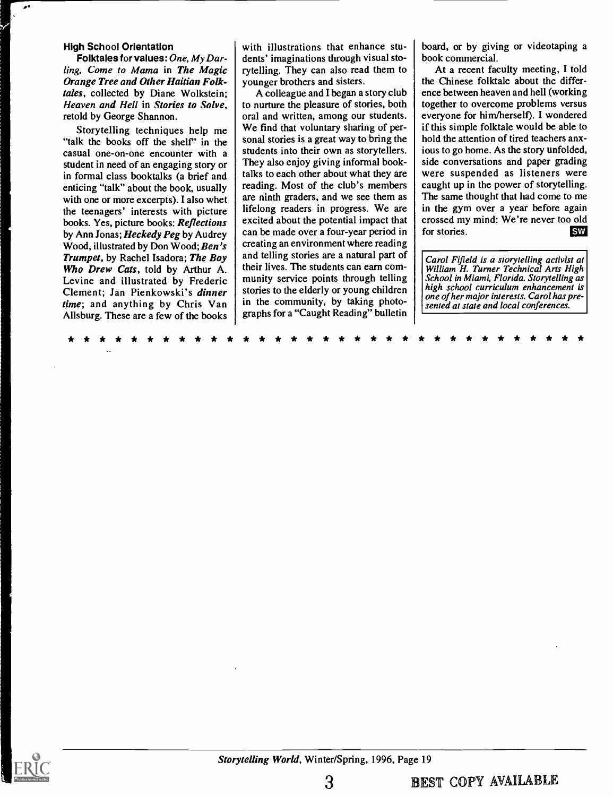#### High School Orientation

Folktales for values: One, My Darling, Come to Mama in The Magic Orange Tree and Other Haitian Folktales, collected by Diane Wolkstein; Heaven and Hell in Stories to Solve, retold by George Shannon.

Storytelling techniques help me "talk the books off the shelf" in the casual one-on-one encounter with a student in need of an engaging story or in formal class booktalks (a brief and enticing "talk" about the book, usually with one or more excerpts). I also whet the teenagers' interests with picture books. Yes, picture books: Reflections by Ann Jonas; Heckedy Peg by Audrey Wood, illustrated by Don Wood; Ben's Trumpet, by Rachel Isadora; The Boy Who Drew Cats, told by Arthur A. Levine and illustrated by Frederic Clement; Jan Pienkowski's dinner time; and anything by Chris Van Allsburg. These are a few of the books with illustrations that enhance students' imaginations through visual storytelling. They can also read them to younger brothers and sisters.

A colleague and I began a story club to nurture the pleasure of stories, both oral and written, among our students. We find that voluntary sharing of personal stories is a great way to bring the students into their own as storytellers. They also enjoy giving informal booktalks to each other about what they are reading. Most of the club's members are ninth graders, and we see them as lifelong readers in progress. We are excited about the potential impact that can be made over a four-year period in creating an environment where reading and telling stories are a natural part of their lives. The students can earn community service points through telling stories to the elderly or young children in the community, by taking photographs for a "Caught Reading" bulletin board, or by giving or videotaping a book commercial.

At a recent faculty meeting, I told the Chinese folktale about the difference between heaven and hell (working together to overcome problems versus everyone for him/herself). I wondered if this simple folktale would be able to hold the attention of tired teachers anxious to go home. As the story unfolded, side conversations and paper grading were suspended as listeners were caught up in the power of storytelling. The same thought that had come to me in the gym over a year before again crossed my mind: We're never too old<br>for stories. for stories.

Carol Fifield is a storytelling activist at William H. Turner Technical Arts High School in Miami, Florida. Storytelling as high school curriculum enhancement is one of her major interests. Carol has presented at state and local conferences.

\* \* \* \* \* \* \* \* \* \* \* \* \* \* \* \* \* \* \* \* \* \* \* \* \* \* \* \* \* \* \* \* \*

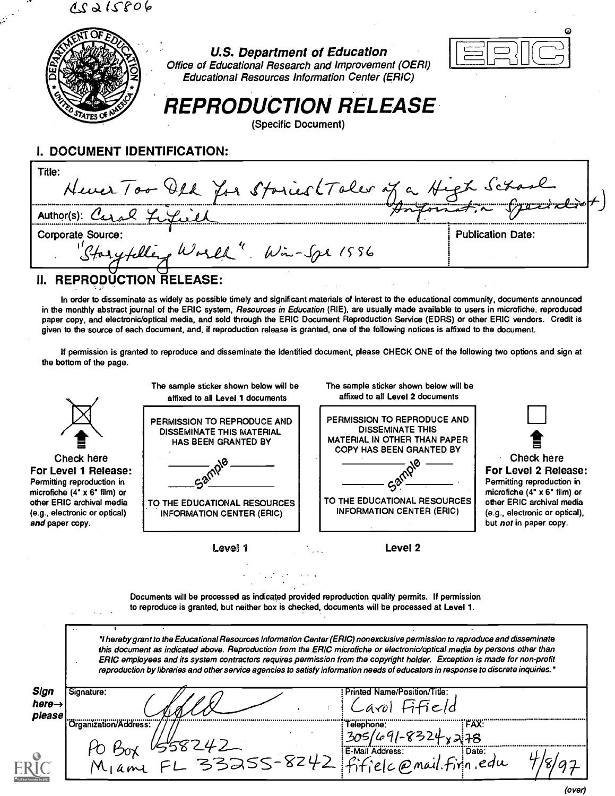$15806$ 



#### U.S. Department of Education



Office of Educational Research and Improvement (OERI) Educational Resources Information Center (ERIC)

# REPRODUCTION RELEASE

(Specific Document)

### I. DOCUMENT IDENTIFICATION:

| Title:<br>Hever Too Old for Stories (Taler of a High School |                               |
|-------------------------------------------------------------|-------------------------------|
|                                                             | and the formation of the same |
| <b>Corporate Source:</b>                                    | <b>Publication Date:</b>      |
| "Starytelling World" Win-Spr 1556                           |                               |
| <b>REPRODUCTION RELEASE:</b>                                |                               |

In order to disseminate as widely as possible timely and significant materials of interest to the educational community, documents announced in the monthly abstract journal of the ERIC system, Resources in Education (RIE), are usually made available to users in microfiche, reproduced paper copy, and electronic/optical media, and sold through the ERIC Document Reproduction Service (EDRS) or other ERIC vendors. Credit is given to the source of each document, and, if reproduction release is granted, one of the following notices is affixed to the document.

If permission is granted to reproduce and disseminate the identified document, please CHECK ONE of the following two options and sign at the bottom of the page.



Documents will be processed as indicated provided reproduction quality permits. If permission to reproduce is granted, but neither box is checked, documents will be processed at Level 1.

"I hereby grant to the Educational Resources Information Center (ERIC) nonexclusive permission to reproduce and disseminate this document as indicated above. Reproduction from the ERIC microfiche or electronic/optical media by persons other than ERIC employees and its system contractors requires permission from the copyright holder. Exception is made for non-profit reproduction by libraries and other service agencies to satisfy information needs of educators in response to discrete inquiries.'

| Sign<br>here $\rightarrow$<br>please | Signature:                 | Printed Name/Position/Title:                                 |  |
|--------------------------------------|----------------------------|--------------------------------------------------------------|--|
|                                      | Crganization/Address:      | FAX:<br>Telephone:<br>305<br>$\lambda$ 78                    |  |
|                                      | $FL$ 33255-82 <sup>U</sup> | E-Mail Address:<br>: Date:<br>$elc$ $\varpi$ mail. Firin edu |  |

(over)